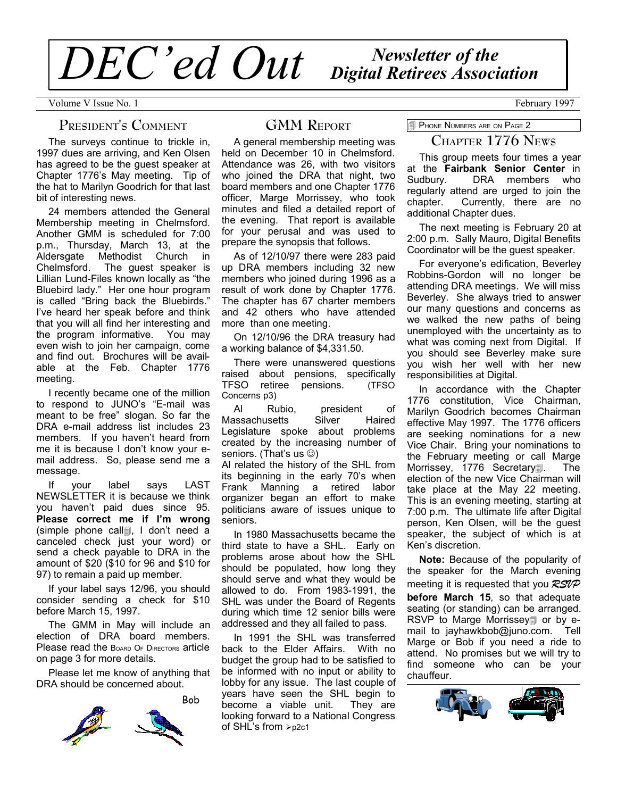# *Newsletter of the DEC'ed Out Digital Retirees Association*

Volume V Issue No. 1 February 1997

## **PRESIDENT'S COMMENT**

The surveys continue to trickle in, 1997 dues are arriving, and Ken Olsen has agreed to be the guest speaker at Chapter 1776's May meeting. Tip of the hat to Marilyn Goodrich for that last bit of interesting news.

24 members attended the General Membership meeting in Chelmsford. Another GMM is scheduled for 7:00 p.m., Thursday, March 13, at the Aldersgate Methodist Church in Chelmsford. The guest speaker is Lillian Lund-Files known locally as "the Bluebird lady." Her one hour program is called "Bring back the Bluebirds." I've heard her speak before and think that you will all find her interesting and the program informative. You may even wish to join her campaign, come and find out. Brochures will be available at the Feb. Chapter 1776 meeting.

I recently became one of the million to respond to JUNO's "E-mail was meant to be free" slogan. So far the DRA e-mail address list includes 23 members. If you haven't heard from me it is because I don't know your email address. So, please send me a message.

If your label says LAST NEWSLETTER it is because we think you haven't paid dues since 95. **Please correct me if I'm wrong** (simple phone call4, I don't need a canceled check just your word) or send a check payable to DRA in the amount of \$20 (\$10 for 96 and \$10 for 97) to remain a paid up member.

If your label says 12/96, you should consider sending a check for \$10 before March 15, 1997.

The GMM in May will include an election of DRA board members. Please read the BOARD OF DIRECTORS article on page 3 for more details.

Please let me know of anything that DRA should be concerned about.



# **GMM REPORT**

A general membership meeting was held on December 10 in Chelmsford. Attendance was 26, with two visitors who joined the DRA that night, two board members and one Chapter 1776 officer, Marge Morrissey, who took minutes and filed a detailed report of the evening. That report is available for your perusal and was used to prepare the synopsis that follows.

As of 12/10/97 there were 283 paid up DRA members including 32 new members who joined during 1996 as a result of work done by Chapter 1776. The chapter has 67 charter members and 42 others who have attended more than one meeting.

On 12/10/96 the DRA treasury had a working balance of \$4,331.50.

There were unanswered questions raised about pensions, specifically TFSO retiree pensions. (TFSO Concerns p3)

Al Rubio, president of Massachusetts Silver Haired Legislature spoke about problems created by the increasing number of seniors. (That's us  $\circledcirc$ )

Al related the history of the SHL from its beginning in the early 70's when Frank Manning a retired labor organizer began an effort to make politicians aware of issues unique to seniors.

In 1980 Massachusetts became the third state to have a SHL. Early on problems arose about how the SHL should be populated, how long they should serve and what they would be allowed to do. From 1983-1991, the SHL was under the Board of Regents during which time 12 senior bills were addressed and they all failed to pass.

In 1991 the SHL was transferred back to the Elder Affairs. With no budget the group had to be satisfied to be informed with no input or ability to lobby for any issue. The last couple of years have seen the SHL begin to become a viable unit. They are looking forward to a National Congress of SHL's from  $\epsilon_{\text{p2c1}}$ 

**PHONE NUMBERS ARE ON PAGE 2** 

## **CHAPTER 1776 NEWS**

This group meets four times a year at the **Fairbank Senior Center** in Sudbury. DRA members who regularly attend are urged to join the chapter. Currently, there are no additional Chapter dues.

The next meeting is February 20 at 2:00 p.m. Sally Mauro, Digital Benefits Coordinator will be the guest speaker.

For everyone's edification, Beverley Robbins-Gordon will no longer be attending DRA meetings. We will miss Beverley. She always tried to answer our many questions and concerns as we walked the new paths of being unemployed with the uncertainty as to what was coming next from Digital. If you should see Beverley make sure you wish her well with her new responsibilities at Digital.

In accordance with the Chapter 1776 constitution, Vice Chairman, Marilyn Goodrich becomes Chairman effective May 1997. The 1776 officers are seeking nominations for a new Vice Chair. Bring your nominations to the February meeting or call Marge Morrissey, 1776 Secretary1. The election of the new Vice Chairman will take place at the May 22 meeting. This is an evening meeting, starting at 7:00 p.m. The ultimate life after Digital person, Ken Olsen, will be the guest speaker, the subject of which is at Ken's discretion.

**Note:** Because of the popularity of the speaker for the March evening meeting it is requested that you *RSVP* **before March 15**, so that adequate seating (or standing) can be arranged. RSVP to Marge Morrissey1 or by email to jayhawkbob@juno.com. Tell Marge or Bob if you need a ride to attend. No promises but we will try to find someone who can be your chauffeur.

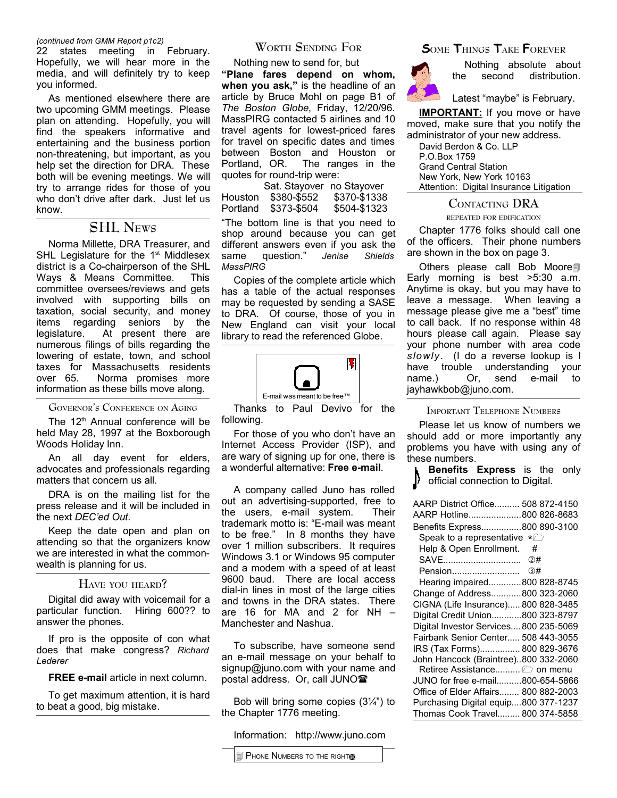#### *(continued from GMM Report p1c2)*

22 states meeting in February. Hopefully, we will hear more in the media, and will definitely try to keep you informed.

As mentioned elsewhere there are two upcoming GMM meetings. Please plan on attending. Hopefully, you will find the speakers informative and entertaining and the business portion non-threatening, but important, as you help set the direction for DRA. These both will be evening meetings. We will try to arrange rides for those of you who don't drive after dark. Just let us know.

## **SHL NEWS**

Norma Millette, DRA Treasurer, and SHL Legislature for the 1<sup>st</sup> Middlesex district is a Co-chairperson of the SHL Ways & Means Committee. This committee oversees/reviews and gets involved with supporting bills on taxation, social security, and money items regarding seniors by the legislature. At present there are numerous filings of bills regarding the lowering of estate, town, and school taxes for Massachusetts residents over 65. Norma promises more information as these bills move along.

#### **GOVERNOR'<sup>S</sup> CONFERENCE ON AGING**

The 12<sup>th</sup> Annual conference will be held May 28, 1997 at the Boxborough Woods Holiday Inn.

An all day event for elders, advocates and professionals regarding matters that concern us all.

DRA is on the mailing list for the press release and it will be included in the next *DEC'ed Out.*

Keep the date open and plan on attending so that the organizers know we are interested in what the commonwealth is planning for us.

## **HAVE YOU HEARD?**

Digital did away with voicemail for a particular function. Hiring 600?? to answer the phones.

If pro is the opposite of con what does that make congress? *Richard Lederer*

**FREE e-mail** article in next column.

To get maximum attention, it is hard to beat a good, big mistake.

## **WORTH SENDING FOR**

Nothing new to send for, but **"Plane fares depend on whom, when you ask,"** is the headline of an article by Bruce Mohl on page B1 of *The Boston Globe*, Friday, 12/20/96. MassPIRG contacted 5 airlines and 10 travel agents for lowest-priced fares for travel on specific dates and times between Boston and Houston or<br>Portland, OR. The ranges in the The ranges in the quotes for round-trip were:

Sat. Stayover no Stayover Houston \$380-\$552 \$370-\$1338 Portland \$373-\$504 \$504-\$1323

"The bottom line is that you need to shop around because you can get different answers even if you ask the<br>same question." Jenise Shields same question." *Jenise Shields MassPIRG*

Copies of the complete article which has a table of the actual responses may be requested by sending a SASE to DRA. Of course, those of you in New England can visit your local library to read the referenced Globe.



Thanks to Paul Devivo for the following.

For those of you who don't have an Internet Access Provider (ISP), and are wary of signing up for one, there is a wonderful alternative: **Free e-mail**.

A company called Juno has rolled out an advertising-supported, free to the users, e-mail system. Their trademark motto is: "E-mail was meant to be free." In 8 months they have over 1 million subscribers. It requires Windows 3.1 or Windows 95 computer and a modem with a speed of at least 9600 baud. There are local access dial-in lines in most of the large cities and towns in the DRA states. There are 16 for MA and 2 for NH – Manchester and Nashua.

To subscribe, have someone send an e-mail message on your behalf to signup@juno.com with your name and postal address. Or, call JUNOT

Bob will bring some copies  $(3\frac{1}{4})$  to the Chapter 1776 meeting.

Information: http://www.juno.com



Nothing absolute about the second distribution.

Latest "maybe" is February.

**IMPORTANT:** If you move or have moved, make sure that you notify the administrator of your new address.

David Berdon & Co. LLP P.O.Box 1759 Grand Central Station New York, New York 10163 Attention: Digital Insurance Litigation

## **CONTACTING DRA**

**REPEATED FOR EDIFICATION**

Chapter 1776 folks should call one of the officers. Their phone numbers are shown in the box on page 3.

Others please call Bob Moore Early morning is best >5:30 a.m. Anytime is okay, but you may have to leave a message. When leaving a message please give me a "best" time to call back. If no response within 48 hours please call again. Please say your phone number with area code *slowly*. (I do a reverse lookup is I have trouble understanding name.) Or, send e-mail to jayhawkbob@juno.com.

#### **IMPORTANT TELEPHONE NUMBERS**

Please let us know of numbers we should add or more importantly any problems you have with using any of these numbers.

**Benefits Express** is the only official connection to Digital.

| AARP District Office 508 872-4150                  |  |
|----------------------------------------------------|--|
| AARP Hotline800 826-8683                           |  |
| Benefits Express800 890-3100                       |  |
| Speak to a representative<br>$\star$ $\rightarrow$ |  |
| Help & Open Enrollment.<br>#                       |  |
| SAVE<br>②#                                         |  |
| Pension<br>③#                                      |  |
| Hearing impaired800 828-8745                       |  |
| Change of Address800 323-2060                      |  |
| CIGNA (Life Insurance) 800 828-3485                |  |
| Digital Credit Union800 323-8797                   |  |
| Digital Investor Services 800 235-5069             |  |
| Fairbank Senior Center 508 443-3055                |  |
| IRS (Tax Forms) 800 829-3676                       |  |
| John Hancock (Braintree)800 332-2060               |  |
| Retiree Assistance $\Box$ on menu                  |  |
| JUNO for free e-mail800-654-5866                   |  |
| Office of Elder Affairs 800 882-2003               |  |
| Purchasing Digital equip800 377-1237               |  |
| Thomas Cook Travel 800 374-5858                    |  |
|                                                    |  |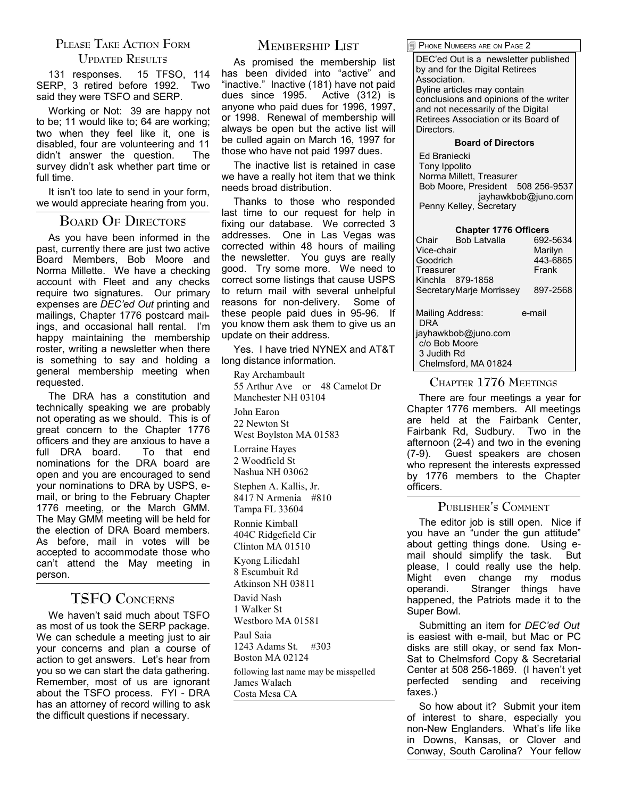# **PLEASE TAKE ACTION FORM**

## **UPDATED RESULTS**

131 responses. 15 TFSO, 114 SERP, 3 retired before 1992. Two said they were TSFO and SERP.

Working or Not: 39 are happy not to be; 11 would like to; 64 are working; two when they feel like it, one is disabled, four are volunteering and 11<br>didn't answer the question The didn't answer the question. survey didn't ask whether part time or full time.

It isn't too late to send in your form, we would appreciate hearing from you.

## **BOARD O<sup>F</sup> DIRECTORS**

As you have been informed in the past, currently there are just two active Board Members, Bob Moore and Norma Millette. We have a checking account with Fleet and any checks require two signatures. Our primary expenses are *DEC'ed Out* printing and mailings, Chapter 1776 postcard mailings, and occasional hall rental. I'm happy maintaining the membership roster, writing a newsletter when there is something to say and holding a general membership meeting when requested.

The DRA has a constitution and technically speaking we are probably not operating as we should. This is of great concern to the Chapter 1776 officers and they are anxious to have a full DRA board. To that end nominations for the DRA board are open and you are encouraged to send your nominations to DRA by USPS, email, or bring to the February Chapter 1776 meeting, or the March GMM. The May GMM meeting will be held for the election of DRA Board members. As before, mail in votes will be accepted to accommodate those who can't attend the May meeting in person.

# **TSFO CONCERNS**

We haven't said much about TSFO as most of us took the SERP package. We can schedule a meeting just to air your concerns and plan a course of action to get answers. Let's hear from you so we can start the data gathering. Remember, most of us are ignorant about the TSFO process. FYI - DRA has an attorney of record willing to ask the difficult questions if necessary.

# **MEMBERSHIP LIST**

As promised the membership list has been divided into "active" and "inactive." Inactive (181) have not paid dues since 1995. Active (312) is anyone who paid dues for 1996, 1997, or 1998. Renewal of membership will always be open but the active list will be culled again on March 16, 1997 for those who have not paid 1997 dues.

The inactive list is retained in case we have a really hot item that we think needs broad distribution.

Thanks to those who responded last time to our request for help in fixing our database. We corrected 3 addresses. One in Las Vegas was corrected within 48 hours of mailing the newsletter. You guys are really good. Try some more. We need to correct some listings that cause USPS to return mail with several unhelpful reasons for non-delivery. Some of these people paid dues in 95-96. If you know them ask them to give us an update on their address.

Yes. I have tried NYNEX and AT&T long distance information.

Ray Archambault 55 Arthur Ave or 48 Camelot Dr

Manchester NH 03104

John Earon 22 Newton St

West Boylston MA 01583

Lorraine Hayes 2 Woodfield St Nashua NH 03062

Stephen A. Kallis, Jr. 8417 N Armenia #810 Tampa FL 33604

Ronnie Kimball 404C Ridgefield Cir Clinton MA 01510

Kyong Liliedahl 8 Escumbuit Rd Atkinson NH 03811

David Nash 1 Walker St

Westboro MA 01581

Paul Saia 1243 Adams St. #303 Boston MA 02124

following last name may be misspelled James Walach Costa Mesa CA

PHONE NUMBERS ARE ON PAGE 2

DEC'ed Out is a newsletter published by and for the Digital Retirees Association. Byline articles may contain conclusions and opinions of the writer and not necessarily of the Digital Retirees Association or its Board of Directors.

#### **Board of Directors**

Ed Braniecki Tony Ippolito Norma Millett, Treasurer Bob Moore, President 508 256-9537 jayhawkbob@juno.com Penny Kelley, Secretary

## **Chapter 1776 Officers**

| Chair<br>Vice-chair | Bob Latvalla             | 692-5634<br>Marilyn |
|---------------------|--------------------------|---------------------|
| Goodrich            |                          | 443-6865            |
| Treasurer           | Frank                    |                     |
|                     | Kinchla 879-1858         |                     |
|                     | SecretaryMarie Morrissey | 897-2568            |
| DRA                 | Mailing Address:         | e-mail              |
|                     | jayhawkbob@juno.com      |                     |
|                     | c/o Bob Moore            |                     |
| 3 Judith Rd         |                          |                     |
|                     | Chelmsford, MA 01824     |                     |

## **CHAPTER 1776 MEETINGS**

There are four meetings a year for Chapter 1776 members. All meetings are held at the Fairbank Center, Fairbank Rd, Sudbury. Two in the afternoon (2-4) and two in the evening (7-9). Guest speakers are chosen who represent the interests expressed by 1776 members to the Chapter officers.

## **PUBLISHER'<sup>S</sup> COMMENT**

The editor job is still open. Nice if you have an "under the gun attitude" about getting things done. Using email should simplify the task. But please, I could really use the help. Might even change my modus operandi. Stranger things have happened, the Patriots made it to the Super Bowl.

Submitting an item for *DEC'ed Out* is easiest with e-mail, but Mac or PC disks are still okay, or send fax Mon-Sat to Chelmsford Copy & Secretarial Center at 508 256-1869. (I haven't yet perfected sending and receiving faxes.)

So how about it? Submit your item of interest to share, especially you non-New Englanders. What's life like in Downs, Kansas, or Clover and Conway, South Carolina? Your fellow